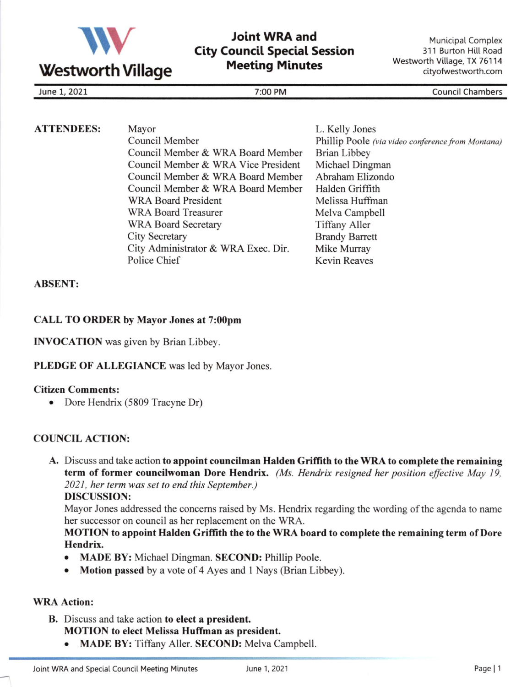

# Joint WRA and City Council Speciat Session **Meeting Minutes**

Municipal Complex 311 Burton Hitl Road Westworth Village, TX 76114 cityofwestworth.com

June 1, 2021 7:00 PM Council Chambers

| <b>ATTENDEES:</b> | Mayor                               | L. Kelly Jones                                    |
|-------------------|-------------------------------------|---------------------------------------------------|
|                   | Council Member                      | Phillip Poole (via video conference from Montana) |
|                   | Council Member & WRA Board Member   | Brian Libbey                                      |
|                   | Council Member & WRA Vice President | Michael Dingman                                   |
|                   | Council Member & WRA Board Member   | Abraham Elizondo                                  |
|                   | Council Member & WRA Board Member   | Halden Griffith                                   |
|                   | <b>WRA Board President</b>          | Melissa Huffman                                   |
|                   | <b>WRA Board Treasurer</b>          | Melva Campbell                                    |
|                   | <b>WRA Board Secretary</b>          | <b>Tiffany Aller</b>                              |
|                   | <b>City Secretary</b>               | <b>Brandy Barrett</b>                             |
|                   | City Administrator & WRA Exec. Dir. | Mike Murray                                       |
|                   | Police Chief                        | <b>Kevin Reaves</b>                               |

### ABSENT:

### CALL TO ORDER by Mayor Jones at 7:00pm

INVOCATION was given by Brian Libbey.

### PLEDGE OF ALLEGIANCE was led by Mayor Jones.

### Citizen Comments:

• Dore Hendrix (5809 Tracyne Dr)

## COUNCIL ACTION:

A. Discuss and take action to appoint councilman Halden Griffith to the WRA to complete the remaining term of former councilwoman Dore Hendrix. (Ms. Hendrix resigned her position effective May 19, 2021, her term was set to end this September.) DISCUSSION:

Mayor Jones addressed the concems raised by Ms. Hendrix regarding the wording of the agenda to name her successor on council as her replacement on the WRA.

### MOTION to appoint Halden Griflith the to the WRA board to complete the remaining term of Dore Hendrix.

- MADE BY: Michael Dingman. SECOND: Phillip Poole.
- Motion passed by a vote of 4 Ayes and 1 Nays (Brian Libbey).

### WRA Action:

- B. Discuss and take action to elect a president. MOTION to elect Melissa Huffman as president.
	- MADE BY: Tiffany Aller. SECOND: Melva Campbell.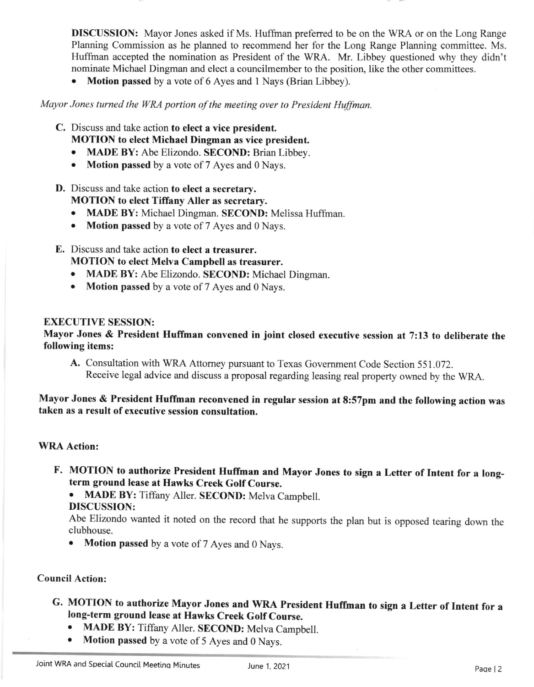**DISCUSSION:** Mayor Jones asked if Ms. Huffman preferred to be on the WRA or on the Long Range Planning Commission as he planned to recommend her for the Long Range Planning committee. Ms. Huffrnan accepted the nomination as President of the WRA. Mr. Libbey questioned why they didn't nominate Michael Dingman and elect a councilmember to the position, like the other committees.

• Motion passed by a vote of 6 Ayes and 1 Nays (Brian Libbey).

Mayor Jones turned the WRA portion of the meeting over to President Huffman.

- C. Discuss and take action to elect a vice president.
	- MOTION to elect Michael Dingman as vice president.
	- o MADE BY: Abe Elizondo. SECOND: Brian Libbey.
	- Motion passed by a vote of 7 Ayes and 0 Nays.
- D. Discuss and take action to elect a secretary. MOTION to elect Tiffany Aller as secretary.
	- MADE BY: Michael Dingman. SECOND: Melissa Huffman.
	- Motion passed by a vote of 7 Ayes and 0 Nays.
- E. Discuss and take action to elect a treasurer. MOTION to elect Melva Campbell as treasurer.
	- . MADE BY: Abe Elizondo. SECOND: Michael Dingman.
	- Motion passed by a vote of 7 Ayes and 0 Nays.

### EXECUTIVE SESSION:

### Mayor Jones & President Huffman convened in joint closed executive session at 7:13 to deliberate the following items:

A. Consultation with WRA Attomey pursuant to Texas Govemment Code Section 551.072. Receive legal advice and discuss a proposal regarding leasing real property owned by the WRA.

Mayor Jones & President Huffman reconvened in regular session at 8:57pm and the following action was taken as a result of executive session consultation.

#### WRA Action:

F. MOTION to authorize President Huffman and Mayor Jones to sign a Letter of Intent for a longterm ground lease at Hawks Creek Golf Course.

. MADE BY: Tiffany Aller. SECOND: Melva Campbell. DISCUSSION:

Abe Elizondo wanted it noted on the record that he supports the plan but is opposed tearing down the clubhouse.

. Motion passed by a vote of 7 Ayes and 0 Nays.

#### Council Action:

- G. MOTION to authorize Mayor Jones and WRA President Huffman to sign a Letter of Intent for a long-term ground lease at Hawks Creek Golf Course.
	- MADE BY: Tiffany Aller. SECOND: Melva Campbell.
	- Motion passed by a vote of 5 Ayes and 0 Nays.